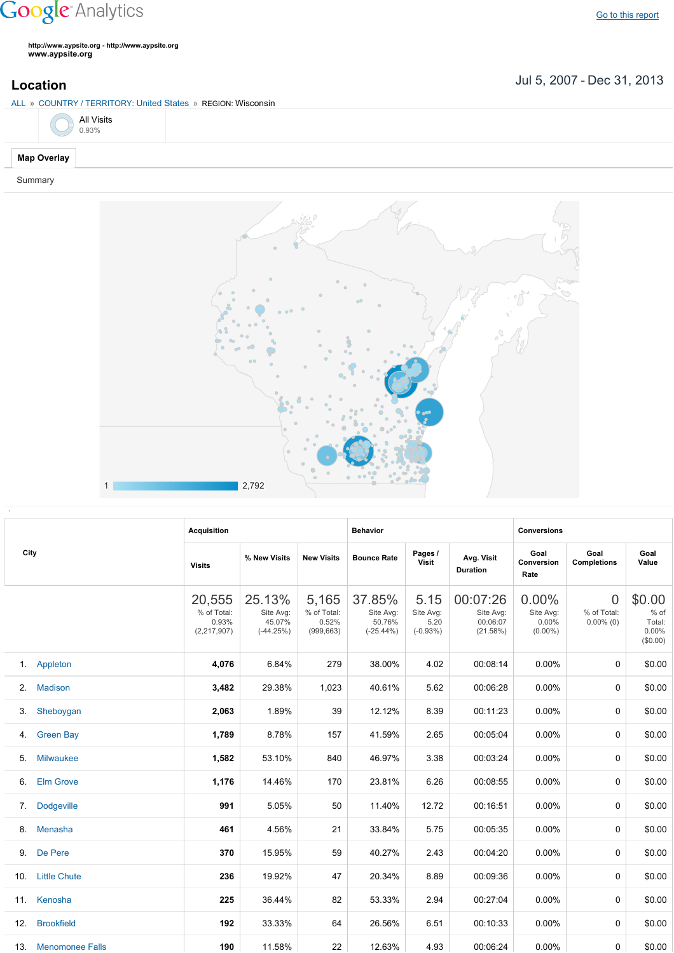## **Google** Analytics

**http://www.aypsite.org http://www.aypsite.org www.aypsite.org**

**Location** Jul 5, 2007 - Dec 31, 2013

| ALL » COUNTRY / TERRITORY: United States » REGION: Wisconsin |  |  |  |  |  |  |  |  |  |  |
|--------------------------------------------------------------|--|--|--|--|--|--|--|--|--|--|
| All Visits<br>0.93%                                          |  |  |  |  |  |  |  |  |  |  |
| <b>Map Overlay</b>                                           |  |  |  |  |  |  |  |  |  |  |

Summary



|      |                     | <b>Acquisition</b>                              |                                              |                                             | <b>Behavior</b>                               |                                         |                                               | <b>Conversions</b>                        |                                               |                                                 |  |
|------|---------------------|-------------------------------------------------|----------------------------------------------|---------------------------------------------|-----------------------------------------------|-----------------------------------------|-----------------------------------------------|-------------------------------------------|-----------------------------------------------|-------------------------------------------------|--|
| City |                     | <b>Visits</b>                                   | % New Visits                                 | <b>New Visits</b>                           | <b>Bounce Rate</b>                            | Pages /<br><b>Visit</b>                 | Avg. Visit<br><b>Duration</b>                 | Goal<br>Conversion<br>Rate                | Goal<br><b>Completions</b>                    | Goal<br>Value                                   |  |
|      |                     | 20,555<br>% of Total:<br>0.93%<br>(2, 217, 907) | 25.13%<br>Site Avg:<br>45.07%<br>$(-44.25%)$ | 5,165<br>% of Total:<br>0.52%<br>(999, 663) | 37.85%<br>Site Avg:<br>50.76%<br>$(-25.44\%)$ | 5.15<br>Site Avg:<br>5.20<br>$(-0.93%)$ | 00:07:26<br>Site Avg:<br>00:06:07<br>(21.58%) | 0.00%<br>Site Avg:<br>0.00%<br>$(0.00\%)$ | $\overline{0}$<br>% of Total:<br>$0.00\%$ (0) | \$0.00<br>$%$ of<br>Total:<br>0.00%<br>(\$0.00) |  |
|      | 1. Appleton         | 4,076                                           | 6.84%                                        | 279                                         | 38.00%                                        | 4.02                                    | 00:08:14                                      | $0.00\%$                                  | 0                                             | \$0.00                                          |  |
| 2.   | <b>Madison</b>      | 3,482                                           | 29.38%                                       | 1,023                                       | 40.61%                                        | 5.62                                    | 00:06:28                                      | $0.00\%$                                  | 0                                             | \$0.00                                          |  |
| 3.   | Sheboygan           | 2,063                                           | 1.89%                                        | 39                                          | 12.12%                                        | 8.39                                    | 00:11:23                                      | 0.00%                                     | 0                                             | \$0.00                                          |  |
| 4.   | <b>Green Bay</b>    | 1,789                                           | 8.78%                                        | 157                                         | 41.59%                                        | 2.65                                    | 00:05:04                                      | 0.00%                                     | 0                                             | \$0.00                                          |  |
| 5.   | <b>Milwaukee</b>    | 1,582                                           | 53.10%                                       | 840                                         | 46.97%                                        | 3.38                                    | 00:03:24                                      | 0.00%                                     | 0                                             | \$0.00                                          |  |
| 6.   | <b>Elm Grove</b>    | 1,176                                           | 14.46%                                       | 170                                         | 23.81%                                        | 6.26                                    | 00:08:55                                      | 0.00%                                     | 0                                             | \$0.00                                          |  |
| 7.   | <b>Dodgeville</b>   | 991                                             | 5.05%                                        | 50                                          | 11.40%                                        | 12.72                                   | 00:16:51                                      | 0.00%                                     | 0                                             | \$0.00                                          |  |
| 8.   | Menasha             | 461                                             | 4.56%                                        | 21                                          | 33.84%                                        | 5.75                                    | 00:05:35                                      | 0.00%                                     | 0                                             | \$0.00                                          |  |
|      | 9. De Pere          | 370                                             | 15.95%                                       | 59                                          | 40.27%                                        | 2.43                                    | 00:04:20                                      | 0.00%                                     | 0                                             | \$0.00                                          |  |
| 10.  | <b>Little Chute</b> | 236                                             | 19.92%                                       | 47                                          | 20.34%                                        | 8.89                                    | 00:09:36                                      | 0.00%                                     | 0                                             | \$0.00                                          |  |
| 11.  | Kenosha             | 225                                             | 36.44%                                       | 82                                          | 53.33%                                        | 2.94                                    | 00:27:04                                      | 0.00%                                     | 0                                             | \$0.00                                          |  |
| 12.  | <b>Brookfield</b>   | 192                                             | 33.33%                                       | 64                                          | 26.56%                                        | 6.51                                    | 00:10:33                                      | $0.00\%$                                  | 0                                             | \$0.00                                          |  |
|      | 13. Menomonee Falls | 190                                             | 11.58%                                       | 22                                          | 12.63%                                        | 4.93                                    | 00:06:24                                      | $0.00\%$                                  | 0                                             | \$0.00                                          |  |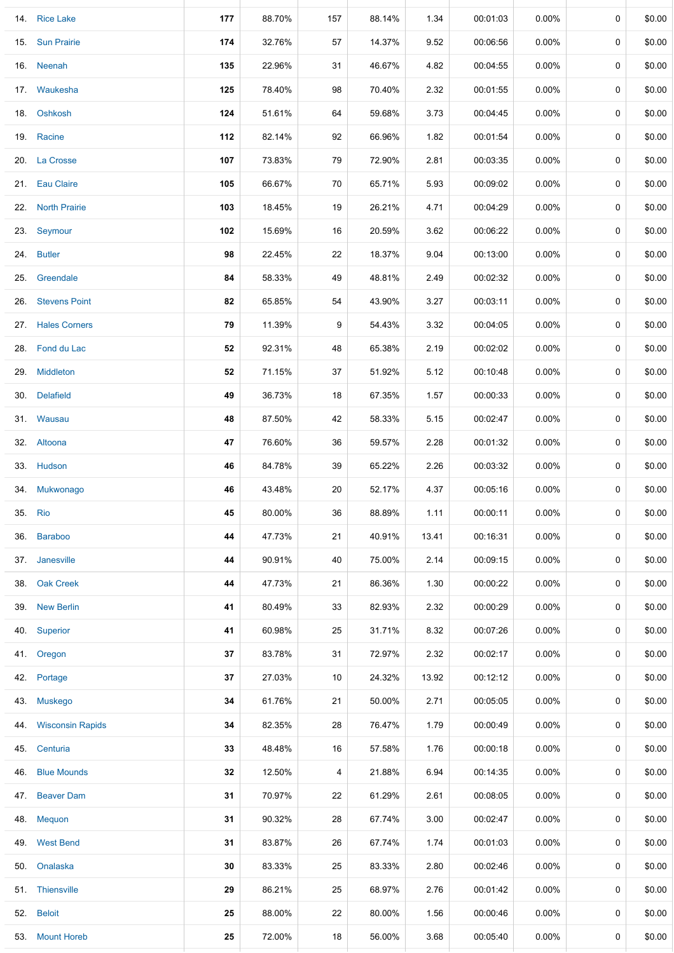|     | 14. Rice Lake        | 177 | 88.70% | 157 | 88.14% | 1.34  | 00:01:03 | 0.00%    | 0 | \$0.00 |
|-----|----------------------|-----|--------|-----|--------|-------|----------|----------|---|--------|
|     | 15. Sun Prairie      | 174 | 32.76% | 57  | 14.37% | 9.52  | 00:06:56 | $0.00\%$ | 0 | \$0.00 |
|     | 16. Neenah           | 135 | 22.96% | 31  | 46.67% | 4.82  | 00:04:55 | $0.00\%$ | 0 | \$0.00 |
|     | 17. Waukesha         | 125 | 78.40% | 98  | 70.40% | 2.32  | 00:01:55 | $0.00\%$ | 0 | \$0.00 |
|     | 18. Oshkosh          | 124 | 51.61% | 64  | 59.68% | 3.73  | 00:04:45 | $0.00\%$ | 0 | \$0.00 |
|     | 19. Racine           | 112 | 82.14% | 92  | 66.96% | 1.82  | 00:01:54 | $0.00\%$ | 0 | \$0.00 |
|     | 20. La Crosse        | 107 | 73.83% | 79  | 72.90% | 2.81  | 00:03:35 | $0.00\%$ | 0 | \$0.00 |
|     | 21. Eau Claire       | 105 | 66.67% | 70  | 65.71% | 5.93  | 00:09:02 | $0.00\%$ | 0 | \$0.00 |
|     | 22. North Prairie    | 103 | 18.45% | 19  | 26.21% | 4.71  | 00:04:29 | $0.00\%$ | 0 | \$0.00 |
|     | 23. Seymour          | 102 | 15.69% | 16  | 20.59% | 3.62  | 00:06:22 | 0.00%    | 0 | \$0.00 |
|     | 24. Butler           | 98  | 22.45% | 22  | 18.37% | 9.04  | 00:13:00 | $0.00\%$ | 0 | \$0.00 |
|     | 25. Greendale        | 84  | 58.33% | 49  | 48.81% | 2.49  | 00:02:32 | $0.00\%$ | 0 | \$0.00 |
| 26. | <b>Stevens Point</b> | 82  | 65.85% | 54  | 43.90% | 3.27  | 00:03:11 | $0.00\%$ | 0 | \$0.00 |
|     | 27. Hales Corners    | 79  | 11.39% | 9   | 54.43% | 3.32  | 00:04:05 | $0.00\%$ | 0 | \$0.00 |
|     | 28. Fond du Lac      | 52  | 92.31% | 48  | 65.38% | 2.19  | 00:02:02 | $0.00\%$ | 0 | \$0.00 |
|     | 29. Middleton        | 52  | 71.15% | 37  | 51.92% | 5.12  | 00:10:48 | $0.00\%$ | 0 | \$0.00 |
|     | 30. Delafield        | 49  | 36.73% | 18  | 67.35% | 1.57  | 00:00:33 | $0.00\%$ | 0 | \$0.00 |
|     | 31. Wausau           | 48  | 87.50% | 42  | 58.33% | 5.15  | 00:02:47 | $0.00\%$ | 0 | \$0.00 |
|     | 32. Altoona          | 47  | 76.60% | 36  | 59.57% | 2.28  | 00:01:32 | $0.00\%$ | 0 | \$0.00 |
|     | 33. Hudson           | 46  | 84.78% | 39  | 65.22% | 2.26  | 00:03:32 | $0.00\%$ | 0 | \$0.00 |
|     | 34. Mukwonago        | 46  | 43.48% | 20  | 52.17% | 4.37  | 00:05:16 | $0.00\%$ | 0 | \$0.00 |
|     | 35. Rio              | 45  | 80.00% | 36  | 88.89% | 1.11  | 00:00:11 | 0.00%    | 0 | \$0.00 |
| 36. | <b>Baraboo</b>       | 44  | 47.73% | 21  | 40.91% | 13.41 | 00:16:31 | $0.00\%$ | 0 | \$0.00 |
|     | 37. Janesville       | 44  | 90.91% | 40  | 75.00% | 2.14  | 00:09:15 | 0.00%    | 0 | \$0.00 |
|     | 38. Oak Creek        | 44  | 47.73% | 21  | 86.36% | 1.30  | 00:00:22 | 0.00%    | 0 | \$0.00 |
|     | 39. New Berlin       | 41  | 80.49% | 33  | 82.93% | 2.32  | 00:00:29 | 0.00%    | 0 | \$0.00 |
| 40. | Superior             | 41  | 60.98% | 25  | 31.71% | 8.32  | 00:07:26 | 0.00%    | 0 | \$0.00 |
|     | 41. Oregon           | 37  | 83.78% | 31  | 72.97% | 2.32  | 00:02:17 | $0.00\%$ | 0 | \$0.00 |
|     | 42. Portage          | 37  | 27.03% | 10  | 24.32% | 13.92 | 00:12:12 | $0.00\%$ | 0 | \$0.00 |
|     | 43. Muskego          | 34  | 61.76% | 21  | 50.00% | 2.71  | 00:05:05 | $0.00\%$ | 0 | \$0.00 |
|     | 44. Wisconsin Rapids | 34  | 82.35% | 28  | 76.47% | 1.79  | 00:00:49 | $0.00\%$ | 0 | \$0.00 |
|     | 45. Centuria         | 33  | 48.48% | 16  | 57.58% | 1.76  | 00:00:18 | $0.00\%$ | 0 | \$0.00 |
|     | 46. Blue Mounds      | 32  | 12.50% | 4   | 21.88% | 6.94  | 00:14:35 | $0.00\%$ | 0 | \$0.00 |
|     | 47. Beaver Dam       | 31  | 70.97% | 22  | 61.29% | 2.61  | 00:08:05 | $0.00\%$ | 0 | \$0.00 |
|     | 48. Mequon           | 31  | 90.32% | 28  | 67.74% | 3.00  | 00:02:47 | 0.00%    | 0 | \$0.00 |
|     | 49. West Bend        | 31  | 83.87% | 26  | 67.74% | 1.74  | 00:01:03 | $0.00\%$ | 0 | \$0.00 |
|     | 50. Onalaska         | 30  | 83.33% | 25  | 83.33% | 2.80  | 00:02:46 | $0.00\%$ | 0 | \$0.00 |
|     | 51. Thiensville      | 29  | 86.21% | 25  | 68.97% | 2.76  | 00:01:42 | $0.00\%$ | 0 | \$0.00 |
|     | 52. Beloit           | 25  | 88.00% | 22  | 80.00% | 1.56  | 00:00:46 | $0.00\%$ | 0 | \$0.00 |
|     | 53. Mount Horeb      | 25  | 72.00% | 18  | 56.00% | 3.68  | 00:05:40 | $0.00\%$ | 0 | \$0.00 |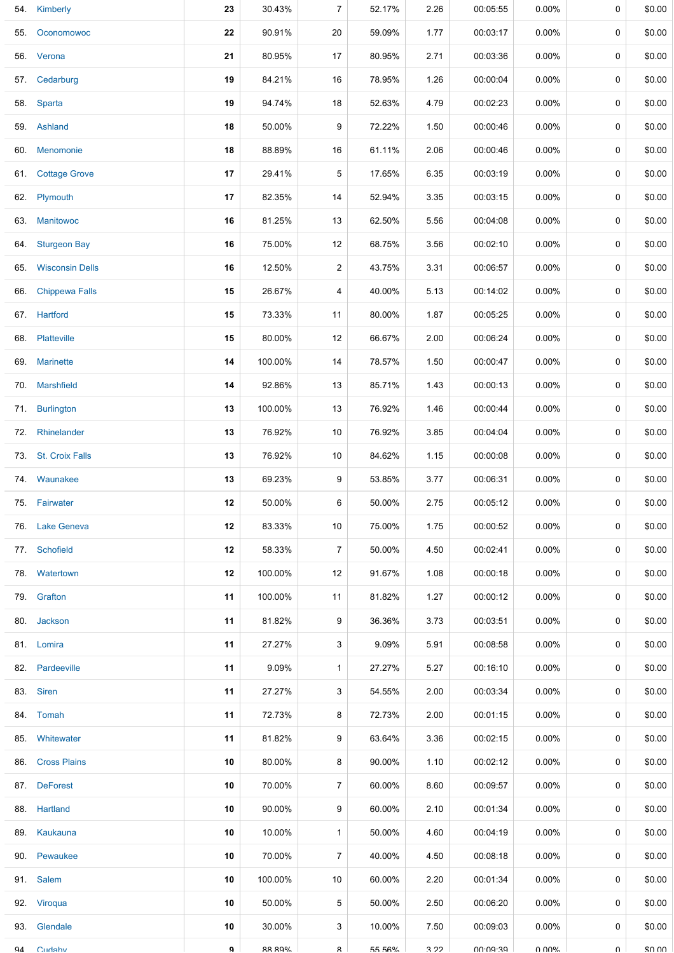|     | 54. Kimberly           | 23           | 30.43%        | $\overline{7}$ | 52.17% | 2.26 | 00:05:55        | 0.00%    | 0           | \$0.00      |
|-----|------------------------|--------------|---------------|----------------|--------|------|-----------------|----------|-------------|-------------|
| 55. | Oconomowoc             | 22           | 90.91%        | 20             | 59.09% | 1.77 | 00:03:17        | 0.00%    | 0           | \$0.00      |
|     | 56. Verona             | 21           | 80.95%        | 17             | 80.95% | 2.71 | 00:03:36        | 0.00%    | 0           | \$0.00      |
| 57. | Cedarburg              | 19           | 84.21%        | 16             | 78.95% | 1.26 | 00:00:04        | 0.00%    | 0           | \$0.00      |
|     | 58. Sparta             | 19           | 94.74%        | 18             | 52.63% | 4.79 | 00:02:23        | $0.00\%$ | 0           | \$0.00      |
|     | 59. Ashland            | 18           | 50.00%        | 9              | 72.22% | 1.50 | 00:00:46        | 0.00%    | 0           | \$0.00      |
|     | 60. Menomonie          | 18           | 88.89%        | 16             | 61.11% | 2.06 | 00:00:46        | $0.00\%$ | 0           | \$0.00      |
| 61. | <b>Cottage Grove</b>   | 17           | 29.41%        | 5              | 17.65% | 6.35 | 00:03:19        | $0.00\%$ | 0           | \$0.00      |
|     | 62. Plymouth           | 17           | 82.35%        | 14             | 52.94% | 3.35 | 00:03:15        | $0.00\%$ | 0           | \$0.00      |
| 63. | <b>Manitowoc</b>       | 16           | 81.25%        | 13             | 62.50% | 5.56 | 00:04:08        | $0.00\%$ | 0           | \$0.00      |
| 64. | <b>Sturgeon Bay</b>    | 16           | 75.00%        | 12             | 68.75% | 3.56 | 00:02:10        | $0.00\%$ | 0           | \$0.00      |
| 65. | <b>Wisconsin Dells</b> | 16           | 12.50%        | $\overline{a}$ | 43.75% | 3.31 | 00:06:57        | $0.00\%$ | 0           | \$0.00      |
| 66. | <b>Chippewa Falls</b>  | 15           | 26.67%        | 4              | 40.00% | 5.13 | 00:14:02        | $0.00\%$ | 0           | \$0.00      |
|     | 67. Hartford           | 15           | 73.33%        | 11             | 80.00% | 1.87 | 00:05:25        | 0.00%    | $\mathbf 0$ | \$0.00      |
|     | 68. Platteville        | 15           | 80.00%        | 12             | 66.67% | 2.00 | 00:06:24        | 0.00%    | 0           | \$0.00      |
|     | 69. Marinette          | 14           | 100.00%       | 14             | 78.57% | 1.50 | 00:00:47        | 0.00%    | 0           | \$0.00      |
| 70. | <b>Marshfield</b>      | 14           | 92.86%        | 13             | 85.71% | 1.43 | 00:00:13        | $0.00\%$ | 0           | \$0.00      |
|     | 71. Burlington         | 13           | 100.00%       | 13             | 76.92% | 1.46 | 00:00:44        | 0.00%    | 0           | \$0.00      |
| 72. | Rhinelander            | 13           | 76.92%        | 10             | 76.92% | 3.85 | 00:04:04        | 0.00%    | 0           | \$0.00      |
|     | 73. St. Croix Falls    | 13           | 76.92%        | 10             | 84.62% | 1.15 | 00:00:08        | $0.00\%$ | 0           | \$0.00      |
| 74. | Waunakee               | 13           | 69.23%        | 9              | 53.85% | 3.77 | 00:06:31        | $0.00\%$ | 0           | \$0.00      |
|     | 75. Fairwater          | 12           | 50.00%        | 6              | 50.00% | 2.75 | 00:05:12        | 0.00%    | 0           | \$0.00      |
|     | 76. Lake Geneva        | 12           | 83.33%        | 10             | 75.00% | 1.75 | 00:00:52        | $0.00\%$ | 0           | \$0.00      |
|     | 77. Schofield          | 12           | 58.33%        | $\overline{7}$ | 50.00% | 4.50 | 00:02:41        | $0.00\%$ | 0           | \$0.00      |
|     | 78. Watertown          | 12           | 100.00%       | 12             | 91.67% | 1.08 | 00:00:18        | $0.00\%$ | 0           | \$0.00      |
|     | 79. Grafton            | 11           | 100.00%       | 11             | 81.82% | 1.27 | 00:00:12        | $0.00\%$ | 0           | \$0.00      |
|     | 80. Jackson            | 11           | 81.82%        | 9              | 36.36% | 3.73 | 00:03:51        | 0.00%    | 0           | \$0.00      |
|     | 81. Lomira             | 11           | 27.27%        | 3              | 9.09%  | 5.91 | 00:08:58        | $0.00\%$ | 0           | \$0.00      |
|     | 82. Pardeeville        | 11           | 9.09%         | $\mathbf{1}$   | 27.27% | 5.27 | 00:16:10        | $0.00\%$ | 0           | \$0.00      |
|     | 83. Siren              | 11           | 27.27%        | 3              | 54.55% | 2.00 | 00:03:34        | $0.00\%$ | 0           | \$0.00      |
|     | 84. Tomah              | 11           | 72.73%        | 8              | 72.73% | 2.00 | 00:01:15        | 0.00%    | 0           | \$0.00      |
|     | 85. Whitewater         | 11           | 81.82%        | 9              | 63.64% | 3.36 | 00:02:15        | $0.00\%$ | 0           | \$0.00      |
|     | 86. Cross Plains       | 10           | 80.00%        | 8              | 90.00% | 1.10 | 00:02:12        | $0.00\%$ | 0           | \$0.00      |
|     | 87. DeForest           | 10           | 70.00%        | $\overline{7}$ | 60.00% | 8.60 | 00:09:57        | $0.00\%$ | 0           | \$0.00      |
|     | 88. Hartland           | 10           | 90.00%        | 9              | 60.00% | 2.10 | 00:01:34        | $0.00\%$ | 0           | \$0.00      |
|     | 89. Kaukauna           | 10           | 10.00%        | $\mathbf{1}$   | 50.00% | 4.60 | 00:04:19        | $0.00\%$ | 0           | \$0.00      |
|     | 90. Pewaukee           | 10           | 70.00%        | $\overline{7}$ | 40.00% | 4.50 | 00:08:18        | $0.00\%$ | 0           | \$0.00      |
|     | 91. Salem              | 10           | 100.00%       | 10             | 60.00% | 2.20 | 00:01:34        | $0.00\%$ | 0           | \$0.00      |
|     | 92. Viroqua            | 10           | 50.00%        | 5              | 50.00% | 2.50 | 00:06:20        | $0.00\%$ | 0           | \$0.00      |
|     | 93. Glendale           | 10           | 30.00%        | 3              | 10.00% | 7.50 | 00:09:03        | $0.00\%$ | 0           | \$0.00      |
| Q4  | Cudahy                 | $\mathbf{Q}$ | <b>RR RQ%</b> | R              | 55 56% | 3.22 | <b>00.00.30</b> | በ በበ%    | $\Omega$    | $$0 \Omega$ |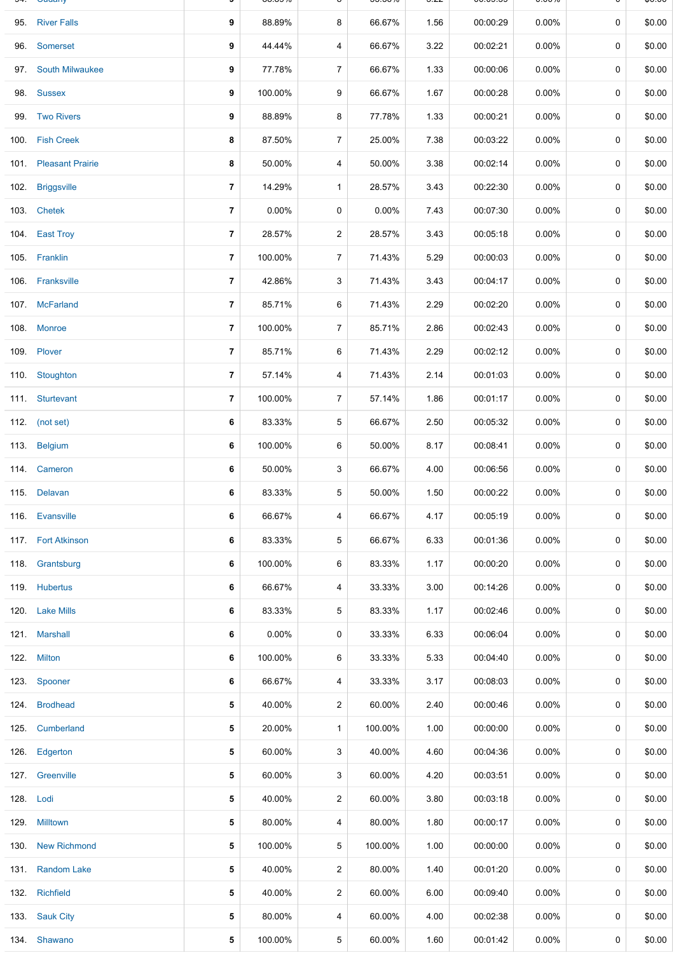|           | <b>Ouually</b>        |                | 00.0070  |                | <u>JJ.JU70</u> | $\mathsf{v}$ | 00.00.00 | <b>0.0070</b> |             | ψυ.υυ  |
|-----------|-----------------------|----------------|----------|----------------|----------------|--------------|----------|---------------|-------------|--------|
|           | 95. River Falls       | 9              | 88.89%   | 8              | 66.67%         | 1.56         | 00:00:29 | $0.00\%$      | 0           | \$0.00 |
| 96.       | Somerset              | 9              | 44.44%   | 4              | 66.67%         | 3.22         | 00:02:21 | $0.00\%$      | 0           | \$0.00 |
|           | 97. South Milwaukee   | 9              | 77.78%   | $\overline{7}$ | 66.67%         | 1.33         | 00:00:06 | $0.00\%$      | 0           | \$0.00 |
|           | 98. Sussex            | 9              | 100.00%  | 9              | 66.67%         | 1.67         | 00:00:28 | $0.00\%$      | 0           | \$0.00 |
|           | 99. Two Rivers        | 9              | 88.89%   | 8              | 77.78%         | 1.33         | 00:00:21 | 0.00%         | 0           | \$0.00 |
|           | 100. Fish Creek       | 8              | 87.50%   | $\overline{7}$ | 25.00%         | 7.38         | 00:03:22 | 0.00%         | 0           | \$0.00 |
|           | 101. Pleasant Prairie | 8              | 50.00%   | 4              | 50.00%         | 3.38         | 00:02:14 | $0.00\%$      | 0           | \$0.00 |
|           | 102. Briggsville      | $\overline{7}$ | 14.29%   | $\mathbf{1}$   | 28.57%         | 3.43         | 00:22:30 | 0.00%         | $\mathbf 0$ | \$0.00 |
|           | 103. Chetek           | $\overline{7}$ | 0.00%    | 0              | 0.00%          | 7.43         | 00:07:30 | $0.00\%$      | 0           | \$0.00 |
|           | 104. East Troy        | 7              | 28.57%   | $\overline{c}$ | 28.57%         | 3.43         | 00:05:18 | 0.00%         | 0           | \$0.00 |
|           | 105. Franklin         | $\overline{7}$ | 100.00%  | $\overline{7}$ | 71.43%         | 5.29         | 00:00:03 | $0.00\%$      | 0           | \$0.00 |
|           | 106. Franksville      | $\overline{7}$ | 42.86%   | 3              | 71.43%         | 3.43         | 00:04:17 | 0.00%         | 0           | \$0.00 |
|           | 107. McFarland        | $\overline{7}$ | 85.71%   | 6              | 71.43%         | 2.29         | 00:02:20 | 0.00%         | 0           | \$0.00 |
|           | 108. Monroe           | 7              | 100.00%  | $\overline{7}$ | 85.71%         | 2.86         | 00:02:43 | $0.00\%$      | 0           | \$0.00 |
|           | 109. Plover           | $\overline{7}$ | 85.71%   | 6              | 71.43%         | 2.29         | 00:02:12 | $0.00\%$      | 0           | \$0.00 |
|           | 110. Stoughton        | $\overline{7}$ | 57.14%   | 4              | 71.43%         | 2.14         | 00:01:03 | $0.00\%$      | 0           | \$0.00 |
|           | 111. Sturtevant       | $\overline{7}$ | 100.00%  | $\overline{7}$ | 57.14%         | 1.86         | 00:01:17 | $0.00\%$      | 0           | \$0.00 |
|           | 112. (not set)        | 6              | 83.33%   | 5              | 66.67%         | 2.50         | 00:05:32 | $0.00\%$      | 0           | \$0.00 |
|           | 113. Belgium          | 6              | 100.00%  | 6              | 50.00%         | 8.17         | 00:08:41 | $0.00\%$      | 0           | \$0.00 |
|           | 114. Cameron          | 6              | 50.00%   | 3              | 66.67%         | 4.00         | 00:06:56 | 0.00%         | 0           | \$0.00 |
|           | 115. Delavan          | 6              | 83.33%   | 5              | 50.00%         | 1.50         | 00:00:22 | $0.00\%$      | 0           | \$0.00 |
|           | 116. Evansville       | 6              | 66.67%   | 4              | 66.67%         | 4.17         | 00:05:19 | 0.00%         | 0           | \$0.00 |
|           | 117. Fort Atkinson    | 6              | 83.33%   | 5              | 66.67%         | 6.33         | 00:01:36 | 0.00%         | 0           | \$0.00 |
|           | 118. Grantsburg       | 6              | 100.00%  | 6              | 83.33%         | 1.17         | 00:00:20 | $0.00\%$      | 0           | \$0.00 |
|           | 119. Hubertus         | 6              | 66.67%   | 4              | 33.33%         | 3.00         | 00:14:26 | $0.00\%$      | 0           | \$0.00 |
|           | 120. Lake Mills       | 6              | 83.33%   | 5              | 83.33%         | 1.17         | 00:02:46 | $0.00\%$      | 0           | \$0.00 |
|           | 121. Marshall         | 6              | $0.00\%$ | 0              | 33.33%         | 6.33         | 00:06:04 | $0.00\%$      | 0           | \$0.00 |
|           | 122. Milton           | 6              | 100.00%  | 6              | 33.33%         | 5.33         | 00:04:40 | $0.00\%$      | 0           | \$0.00 |
|           | 123. Spooner          | 6              | 66.67%   | 4              | 33.33%         | 3.17         | 00:08:03 | $0.00\%$      | 0           | \$0.00 |
|           | 124. Brodhead         | 5              | 40.00%   | $\overline{c}$ | 60.00%         | 2.40         | 00:00:46 | $0.00\%$      | 0           | \$0.00 |
|           | 125. Cumberland       | 5              | 20.00%   | $\mathbf{1}$   | 100.00%        | 1.00         | 00:00:00 | $0.00\%$      | 0           | \$0.00 |
|           | 126. Edgerton         | 5              | 60.00%   | 3              | 40.00%         | 4.60         | 00:04:36 | $0.00\%$      | 0           | \$0.00 |
|           | 127. Greenville       | 5              | 60.00%   | 3              | 60.00%         | 4.20         | 00:03:51 | $0.00\%$      | 0           | \$0.00 |
| 128. Lodi |                       | 5              | 40.00%   | $\overline{c}$ | 60.00%         | 3.80         | 00:03:18 | $0.00\%$      | 0           | \$0.00 |
|           | 129. Milltown         | 5              | 80.00%   | 4              | 80.00%         | 1.80         | 00:00:17 | $0.00\%$      | 0           | \$0.00 |
|           | 130. New Richmond     | 5              | 100.00%  | 5              | 100.00%        | 1.00         | 00:00:00 | $0.00\%$      | 0           | \$0.00 |
|           | 131. Random Lake      | 5              | 40.00%   | 2              | 80.00%         | 1.40         | 00:01:20 | $0.00\%$      | 0           | \$0.00 |
|           | 132. Richfield        | 5              | 40.00%   | $\overline{c}$ | 60.00%         | 6.00         | 00:09:40 | $0.00\%$      | 0           | \$0.00 |
|           | 133. Sauk City        | 5              | 80.00%   | 4              | 60.00%         | 4.00         | 00:02:38 | $0.00\%$      | 0           | \$0.00 |
|           | 134. Shawano          | 5              | 100.00%  | 5              | 60.00%         | 1.60         | 00:01:42 | $0.00\%$      | 0           | \$0.00 |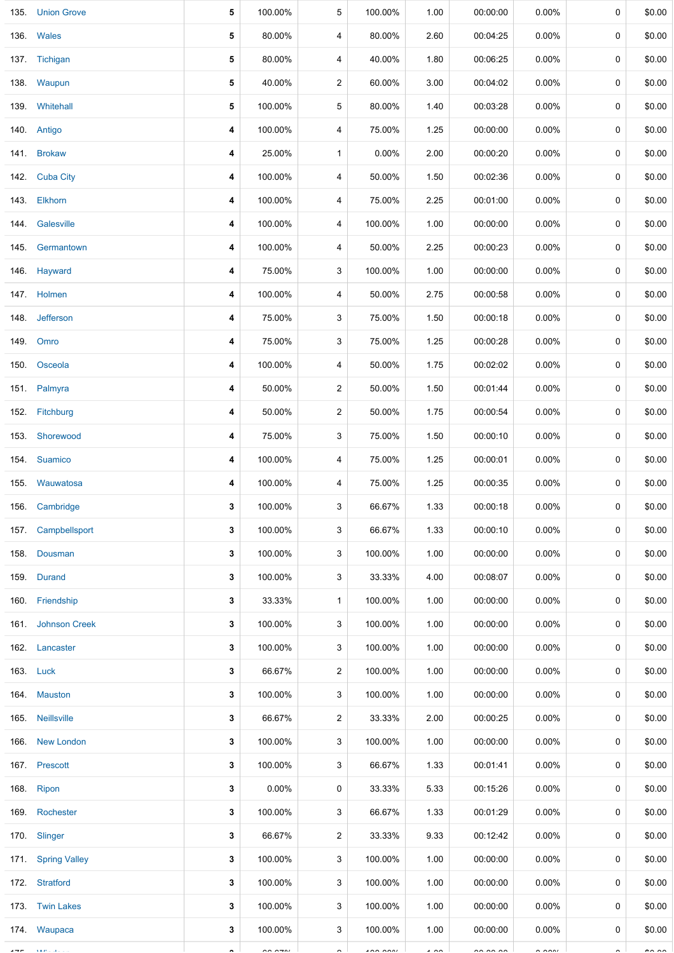|      | 135. Union Grove   | 5 | 100.00%              | 5              | 100.00%        | 1.00           | 00:00:00             | $0.00\%$             | 0 | \$0.00        |
|------|--------------------|---|----------------------|----------------|----------------|----------------|----------------------|----------------------|---|---------------|
|      | 136. Wales         | 5 | 80.00%               | 4              | 80.00%         | 2.60           | 00:04:25             | 0.00%                | 0 | \$0.00        |
|      | 137. Tichigan      | 5 | 80.00%               | 4              | 40.00%         | 1.80           | 00:06:25             | 0.00%                | 0 | \$0.00        |
|      | 138. Waupun        | 5 | 40.00%               | $\overline{c}$ | 60.00%         | 3.00           | 00:04:02             | 0.00%                | 0 | \$0.00        |
|      | 139. Whitehall     | 5 | 100.00%              | 5              | 80.00%         | 1.40           | 00:03:28             | $0.00\%$             | 0 | \$0.00        |
|      | 140. Antigo        | 4 | 100.00%              | 4              | 75.00%         | 1.25           | 00:00:00             | $0.00\%$             | 0 | \$0.00        |
|      | 141. Brokaw        | 4 | 25.00%               | $\mathbf{1}$   | $0.00\%$       | 2.00           | 00:00:20             | 0.00%                | 0 | \$0.00        |
|      | 142. Cuba City     | 4 | 100.00%              | 4              | 50.00%         | 1.50           | 00:02:36             | $0.00\%$             | 0 | \$0.00        |
|      | 143. Elkhorn       | 4 | 100.00%              | 4              | 75.00%         | 2.25           | 00:01:00             | $0.00\%$             | 0 | \$0.00        |
|      | 144. Galesville    | 4 | 100.00%              | 4              | 100.00%        | 1.00           | 00:00:00             | $0.00\%$             | 0 | \$0.00        |
|      | 145. Germantown    | 4 | 100.00%              | 4              | 50.00%         | 2.25           | 00:00:23             | $0.00\%$             | 0 | \$0.00        |
|      | 146. Hayward       | 4 | 75.00%               | 3              | 100.00%        | 1.00           | 00:00:00             | 0.00%                | 0 | \$0.00        |
|      | 147. Holmen        | 4 | 100.00%              | 4              | 50.00%         | 2.75           | 00:00:58             | 0.00%                | 0 | \$0.00        |
|      | 148. Jefferson     | 4 | 75.00%               | 3              | 75.00%         | 1.50           | 00:00:18             | $0.00\%$             | 0 | \$0.00        |
|      | 149. Omro          | 4 | 75.00%               | 3              | 75.00%         | 1.25           | 00:00:28             | 0.00%                | 0 | \$0.00        |
| 150. | Osceola            | 4 | 100.00%              | 4              | 50.00%         | 1.75           | 00:02:02             | 0.00%                | 0 | \$0.00        |
|      | 151 Palmyra        | 4 | 50.00%               | 2              | 50.00%         | 1.50           | 00:01:44             | $0.00\%$             | 0 | \$0.00        |
|      | 152. Fitchburg     | 4 | 50.00%               | $\overline{c}$ | 50.00%         | 1.75           | 00:00:54             | 0.00%                | 0 | \$0.00        |
| 153. | Shorewood          | 4 | 75.00%               | 3              | 75.00%         | 1.50           | 00:00:10             | 0.00%                | 0 | \$0.00        |
|      | 154 Suamico        | 4 | 100.00%              | 4              | 75.00%         | 1.25           | 00:00:01             | 0.00%                | 0 | \$0.00        |
|      | 155 Wauwatosa      | 4 | 100.00%              | 4              | 75.00%         | 1.25           | 00:00:35             | $0.00\%$             | 0 | \$0.00        |
|      | 156. Cambridge     | 3 | 100.00%              | 3              | 66.67%         | 1.33           | 00:00:18             | $0.00\%$             | 0 | \$0.00        |
|      | 157. Campbellsport | 3 | 100.00%              | 3              | 66.67%         | 1.33           | 00:00:10             | $0.00\%$             | 0 | \$0.00        |
|      | 158. Dousman       | 3 | 100.00%              | 3              | 100.00%        | 1.00           | 00:00:00             | $0.00\%$             | 0 | \$0.00        |
|      | 159. Durand        | 3 | 100.00%              | 3              | 33.33%         | 4.00           | 00:08:07             | $0.00\%$             | 0 | \$0.00        |
|      | 160. Friendship    | 3 | 33.33%               | $\mathbf{1}$   | 100.00%        | 1.00           | 00:00:00             | $0.00\%$             | 0 | \$0.00        |
|      | 161. Johnson Creek | 3 | 100.00%              | 3              | 100.00%        | 1.00           | 00:00:00             | $0.00\%$             | 0 | \$0.00        |
|      | 162. Lancaster     | 3 | 100.00%              | 3              | 100.00%        | 1.00           | 00:00:00             | $0.00\%$             | 0 | \$0.00        |
|      | 163. Luck          | 3 | 66.67%               | 2              | 100.00%        | 1.00           | 00:00:00             | $0.00\%$             | 0 | \$0.00        |
|      | 164. Mauston       | 3 | 100.00%              | 3              | 100.00%        | 1.00           | 00:00:00             | $0.00\%$             | 0 | \$0.00        |
|      | 165. Neillsville   | 3 | 66.67%               | $\overline{c}$ | 33.33%         | 2.00           | 00:00:25             | $0.00\%$             | 0 | \$0.00        |
|      | 166 New London     | 3 | 100.00%              | 3              | 100.00%        | 1.00           | 00:00:00             | $0.00\%$             | 0 | \$0.00        |
|      | 167. Prescott      | 3 | 100.00%              | 3              | 66.67%         | 1.33           | 00:01:41             | $0.00\%$             | 0 | \$0.00        |
|      | 168. Ripon         | 3 | 0.00%                | 0              | 33.33%         | 5.33           | 00:15:26             | $0.00\%$             | 0 | \$0.00        |
|      | 169. Rochester     | 3 | 100.00%              | 3              | 66.67%         | 1.33           | 00:01:29             | $0.00\%$             | 0 | \$0.00        |
|      | 170. Slinger       | 3 | 66.67%               | 2              | 33.33%         | 9.33           | 00:12:42             | $0.00\%$             | 0 | \$0.00        |
|      | 171. Spring Valley | 3 | 100.00%              | 3              | 100.00%        | 1.00           | 00:00:00             | $0.00\%$             | 0 | \$0.00        |
|      | 172. Stratford     | 3 | 100.00%              | 3              | 100.00%        | 1.00           | 00:00:00             | $0.00\%$             | 0 | \$0.00        |
|      | 173. Twin Lakes    | 3 | 100.00%              | 3              | 100.00%        | 1.00           | 00:00:00             | $0.00\%$             | 0 | \$0.00        |
|      | 174 Waupaca        | 3 | 100.00%              | 3              | 100.00%        | 1.00           | 00:00:00             | $0.00\%$             | 0 | \$0.00        |
|      |                    |   | $\sim$ $\sim$ $\sim$ |                | $\overline{a}$ | $\overline{1}$ | $\sim$ $\sim$ $\sim$ | $\sim$ $\sim$ $\sim$ |   | $\sim$ $\sim$ |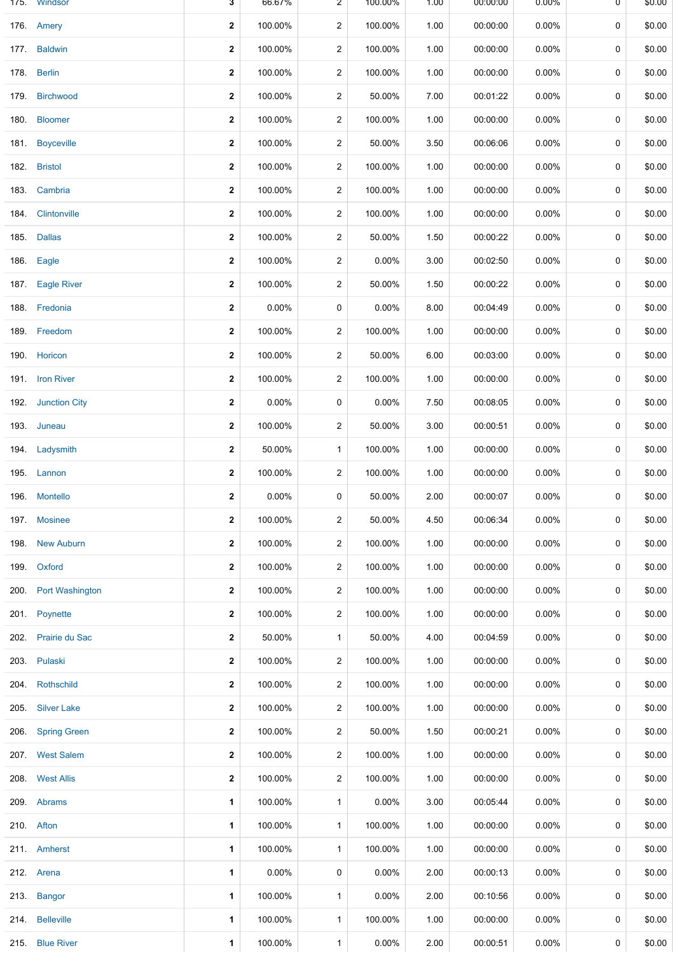| 175. | Windsor             | 3            | 66.67%   | 2              | 100.00%  | 1.00 | 00:00:00 | $0.00\%$ | 0 | \$0.00 |
|------|---------------------|--------------|----------|----------------|----------|------|----------|----------|---|--------|
|      | 176. Amery          | $\mathbf{2}$ | 100.00%  | 2              | 100.00%  | 1.00 | 00:00:00 | $0.00\%$ | 0 | \$0.00 |
|      | 177. Baldwin        | $\mathbf{2}$ | 100.00%  | 2              | 100.00%  | 1.00 | 00:00:00 | $0.00\%$ | 0 | \$0.00 |
| 178. | <b>Berlin</b>       | $\mathbf{2}$ | 100.00%  | $\overline{c}$ | 100.00%  | 1.00 | 00:00:00 | $0.00\%$ | 0 | \$0.00 |
| 179. | <b>Birchwood</b>    | $\mathbf{2}$ | 100.00%  | $\overline{c}$ | 50.00%   | 7.00 | 00:01:22 | $0.00\%$ | 0 | \$0.00 |
| 180. | <b>Bloomer</b>      | 2            | 100.00%  | 2              | 100.00%  | 1.00 | 00:00:00 | $0.00\%$ | 0 | \$0.00 |
| 181. | <b>Boyceville</b>   | 2            | 100.00%  | 2              | 50.00%   | 3.50 | 00:06:06 | $0.00\%$ | 0 | \$0.00 |
| 182. | <b>Bristol</b>      | $\mathbf{2}$ | 100.00%  | 2              | 100.00%  | 1.00 | 00:00:00 | 0.00%    | 0 | \$0.00 |
| 183. | Cambria             | 2            | 100.00%  | 2              | 100.00%  | 1.00 | 00:00:00 | $0.00\%$ | 0 | \$0.00 |
| 184. | Clintonville        | 2            | 100.00%  | 2              | 100.00%  | 1.00 | 00:00:00 | $0.00\%$ | 0 | \$0.00 |
| 185. | <b>Dallas</b>       | $\mathbf{2}$ | 100.00%  | $\overline{c}$ | 50.00%   | 1.50 | 00:00:22 | $0.00\%$ | 0 | \$0.00 |
| 186. | Eagle               | $\mathbf{2}$ | 100.00%  | $\overline{c}$ | $0.00\%$ | 3.00 | 00:02:50 | $0.00\%$ | 0 | \$0.00 |
| 187. | <b>Eagle River</b>  | 2            | 100.00%  | $\overline{c}$ | 50.00%   | 1.50 | 00:00:22 | 0.00%    | 0 | \$0.00 |
|      | 188. Fredonia       | $\mathbf{2}$ | 0.00%    | 0              | $0.00\%$ | 8.00 | 00:04:49 | $0.00\%$ | 0 | \$0.00 |
| 189. | Freedom             | 2            | 100.00%  | $\overline{c}$ | 100.00%  | 1.00 | 00:00:00 | $0.00\%$ | 0 | \$0.00 |
| 190. | Horicon             | $\mathbf{2}$ | 100.00%  | 2              | 50.00%   | 6.00 | 00:03:00 | $0.00\%$ | 0 | \$0.00 |
| 191. | <b>Iron River</b>   | $\mathbf{2}$ | 100.00%  | 2              | 100.00%  | 1.00 | 00:00:00 | $0.00\%$ | 0 | \$0.00 |
|      | 192. Junction City  | 2            | 0.00%    | 0              | $0.00\%$ | 7.50 | 00:08:05 | $0.00\%$ | 0 | \$0.00 |
| 193. | Juneau              | $\mathbf{2}$ | 100.00%  | $\overline{c}$ | 50.00%   | 3.00 | 00:00:51 | $0.00\%$ | 0 | \$0.00 |
|      | 194. Ladysmith      | 2            | 50.00%   | 1              | 100.00%  | 1.00 | 00:00:00 | $0.00\%$ | 0 | \$0.00 |
|      | 195. Lannon         | $\mathbf{2}$ | 100.00%  | $\overline{c}$ | 100.00%  | 1.00 | 00:00:00 | $0.00\%$ | 0 | \$0.00 |
|      | 196. Montello       | 2            | 0.00%    | 0              | 50.00%   | 2.00 | 00:00:07 | $0.00\%$ | 0 | \$0.00 |
|      | 197. Mosinee        | $\mathbf{2}$ | 100.00%  | 2              | 50.00%   | 4.50 | 00:06:34 | 0.00%    | 0 | \$0.00 |
| 198. | <b>New Auburn</b>   | 2            | 100.00%  | 2              | 100.00%  | 1.00 | 00:00:00 | $0.00\%$ | 0 | \$0.00 |
| 199. | Oxford              | 2            | 100.00%  | 2              | 100.00%  | 1.00 | 00:00:00 | $0.00\%$ | 0 | \$0.00 |
| 200. | Port Washington     | 2            | 100.00%  | 2              | 100.00%  | 1.00 | 00:00:00 | $0.00\%$ | 0 | \$0.00 |
|      | 201. Poynette       | 2            | 100.00%  | $\overline{c}$ | 100.00%  | 1.00 | 00:00:00 | $0.00\%$ | 0 | \$0.00 |
| 202. | Prairie du Sac      | $\mathbf{2}$ | 50.00%   | $\mathbf{1}$   | 50.00%   | 4.00 | 00:04:59 | $0.00\%$ | 0 | \$0.00 |
| 203. | Pulaski             | 2            | 100.00%  | 2              | 100.00%  | 1.00 | 00:00:00 | $0.00\%$ | 0 | \$0.00 |
| 204. | Rothschild          | $\mathbf{2}$ | 100.00%  | 2              | 100.00%  | 1.00 | 00:00:00 | $0.00\%$ | 0 | \$0.00 |
| 205. | <b>Silver Lake</b>  | 2            | 100.00%  | 2              | 100.00%  | 1.00 | 00:00:00 | $0.00\%$ | 0 | \$0.00 |
| 206. | <b>Spring Green</b> | $\mathbf{2}$ | 100.00%  | $\overline{c}$ | 50.00%   | 1.50 | 00:00:21 | $0.00\%$ | 0 | \$0.00 |
|      | 207. West Salem     | 2            | 100.00%  | 2              | 100.00%  | 1.00 | 00:00:00 | $0.00\%$ | 0 | \$0.00 |
|      | 208. West Allis     | $\mathbf{2}$ | 100.00%  | $\overline{c}$ | 100.00%  | 1.00 | 00:00:00 | $0.00\%$ | 0 | \$0.00 |
|      | 209. Abrams         | 1            | 100.00%  | 1              | 0.00%    | 3.00 | 00:05:44 | $0.00\%$ | 0 | \$0.00 |
|      | 210. Afton          | 1            | 100.00%  | 1              | 100.00%  | 1.00 | 00:00:00 | $0.00\%$ | 0 | \$0.00 |
|      | 211. Amherst        | 1            | 100.00%  | 1              | 100.00%  | 1.00 | 00:00:00 | 0.00%    | 0 | \$0.00 |
|      | 212. Arena          | 1            | $0.00\%$ | 0              | 0.00%    | 2.00 | 00:00:13 | $0.00\%$ | 0 | \$0.00 |
|      | 213. Bangor         | 1            | 100.00%  | 1              | 0.00%    | 2.00 | 00:10:56 | $0.00\%$ | 0 | \$0.00 |
| 214. | <b>Belleville</b>   | 1            | 100.00%  | 1              | 100.00%  | 1.00 | 00:00:00 | $0.00\%$ | 0 | \$0.00 |
|      | 215. Blue River     | 1            | 100.00%  | $\mathbf{1}$   | 0.00%    | 2.00 | 00:00:51 | $0.00\%$ | 0 | \$0.00 |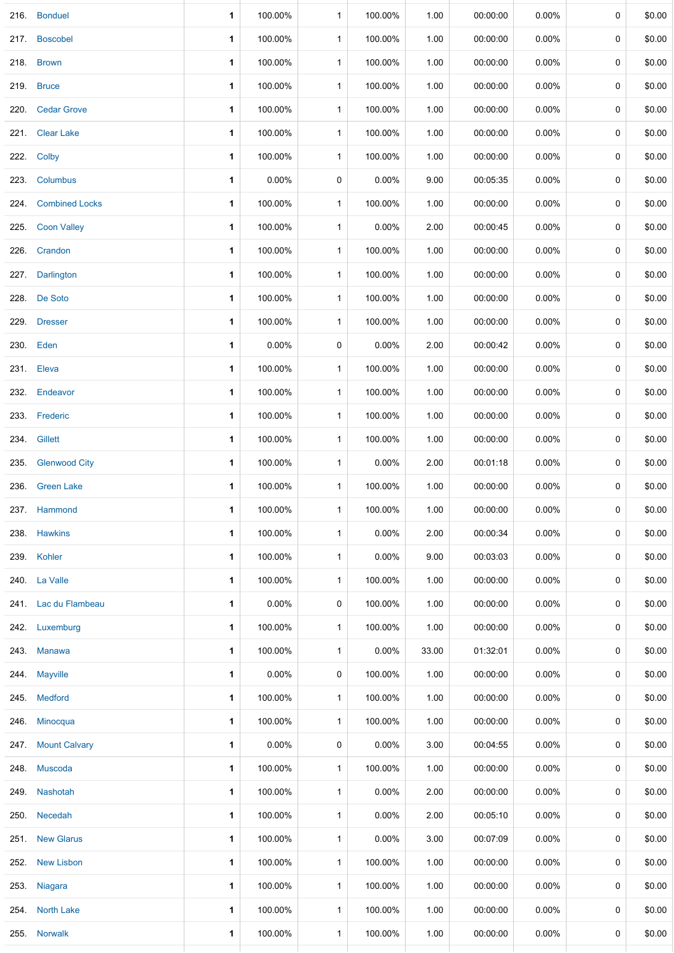| 216. | <b>Bonduel</b>       | 1            | 100.00%  | $\mathbf{1}$ | 100.00%  | 1.00  | 00:00:00 | 0.00%    | 0           | \$0.00 |
|------|----------------------|--------------|----------|--------------|----------|-------|----------|----------|-------------|--------|
|      | 217. Boscobel        | $\mathbf{1}$ | 100.00%  | $\mathbf{1}$ | 100.00%  | 1.00  | 00:00:00 | $0.00\%$ | 0           | \$0.00 |
|      | 218. Brown           | 1            | 100.00%  | $\mathbf{1}$ | 100.00%  | 1.00  | 00:00:00 | $0.00\%$ | 0           | \$0.00 |
|      | 219. Bruce           | 1            | 100.00%  | $\mathbf{1}$ | 100.00%  | 1.00  | 00:00:00 | $0.00\%$ | 0           | \$0.00 |
|      | 220. Cedar Grove     | 1            | 100.00%  | $\mathbf{1}$ | 100.00%  | 1.00  | 00:00:00 | $0.00\%$ | 0           | \$0.00 |
|      | 221. Clear Lake      | 1            | 100.00%  | $\mathbf{1}$ | 100.00%  | 1.00  | 00:00:00 | 0.00%    | 0           | \$0.00 |
|      | 222. Colby           | 1            | 100.00%  | $\mathbf{1}$ | 100.00%  | 1.00  | 00:00:00 | $0.00\%$ | 0           | \$0.00 |
|      | 223. Columbus        | 1            | 0.00%    | 0            | 0.00%    | 9.00  | 00:05:35 | $0.00\%$ | 0           | \$0.00 |
|      | 224. Combined Locks  | 1            | 100.00%  | $\mathbf{1}$ | 100.00%  | 1.00  | 00:00:00 | $0.00\%$ | 0           | \$0.00 |
|      | 225. Coon Valley     | 1            | 100.00%  | $\mathbf{1}$ | 0.00%    | 2.00  | 00:00:45 | $0.00\%$ | 0           | \$0.00 |
|      | 226. Crandon         | 1            | 100.00%  | $\mathbf{1}$ | 100.00%  | 1.00  | 00:00:00 | $0.00\%$ | 0           | \$0.00 |
|      | 227. Darlington      | 1            | 100.00%  | $\mathbf{1}$ | 100.00%  | 1.00  | 00:00:00 | $0.00\%$ | 0           | \$0.00 |
|      | 228. De Soto         | 1            | 100.00%  | $\mathbf{1}$ | 100.00%  | 1.00  | 00:00:00 | $0.00\%$ | 0           | \$0.00 |
|      | 229. Dresser         | 1            | 100.00%  | $\mathbf{1}$ | 100.00%  | 1.00  | 00:00:00 | $0.00\%$ | 0           | \$0.00 |
|      | 230. Eden            | 1            | 0.00%    | 0            | 0.00%    | 2.00  | 00:00:42 | $0.00\%$ | 0           | \$0.00 |
|      | 231. Eleva           | 1            | 100.00%  | $\mathbf{1}$ | 100.00%  | 1.00  | 00:00:00 | 0.00%    | 0           | \$0.00 |
| 232. | Endeavor             | $\mathbf 1$  | 100.00%  | $\mathbf{1}$ | 100.00%  | 1.00  | 00:00:00 | $0.00\%$ | 0           | \$0.00 |
|      | 233. Frederic        | 1            | 100.00%  | $\mathbf{1}$ | 100.00%  | 1.00  | 00:00:00 | $0.00\%$ | 0           | \$0.00 |
| 234. | Gillett              | 1            | 100.00%  | $\mathbf{1}$ | 100.00%  | 1.00  | 00:00:00 | $0.00\%$ | 0           | \$0.00 |
| 235. | <b>Glenwood City</b> | $\mathbf 1$  | 100.00%  | $\mathbf{1}$ | 0.00%    | 2.00  | 00:01:18 | $0.00\%$ | 0           | \$0.00 |
| 236. | <b>Green Lake</b>    | 1            | 100.00%  | $\mathbf{1}$ | 100.00%  | 1.00  | 00:00:00 | $0.00\%$ | 0           | \$0.00 |
|      | 237. Hammond         | 1            | 100.00%  | $\mathbf{1}$ | 100.00%  | 1.00  | 00:00:00 | $0.00\%$ | 0           | \$0.00 |
|      | 238. Hawkins         | 1            | 100.00%  | $\mathbf{1}$ | 0.00%    | 2.00  | 00:00:34 | $0.00\%$ | $\mathbf 0$ | \$0.00 |
|      | 239. Kohler          | 1            | 100.00%  | $\mathbf{1}$ | 0.00%    | 9.00  | 00:03:03 | 0.00%    | 0           | \$0.00 |
|      | 240. La Valle        | 1            | 100.00%  | $\mathbf{1}$ | 100.00%  | 1.00  | 00:00:00 | $0.00\%$ | 0           | \$0.00 |
|      | 241. Lac du Flambeau | $\mathbf{1}$ | $0.00\%$ | 0            | 100.00%  | 1.00  | 00:00:00 | $0.00\%$ | 0           | \$0.00 |
|      | 242. Luxemburg       | 1            | 100.00%  | $\mathbf{1}$ | 100.00%  | 1.00  | 00:00:00 | $0.00\%$ | 0           | \$0.00 |
|      | 243. Manawa          | 1            | 100.00%  | $\mathbf{1}$ | 0.00%    | 33.00 | 01:32:01 | $0.00\%$ | 0           | \$0.00 |
|      | 244. Mayville        | 1            | 0.00%    | 0            | 100.00%  | 1.00  | 00:00:00 | $0.00\%$ | 0           | \$0.00 |
|      | 245. Medford         | 1            | 100.00%  | $\mathbf{1}$ | 100.00%  | 1.00  | 00:00:00 | $0.00\%$ | 0           | \$0.00 |
|      | 246. Minocqua        | 1            | 100.00%  | $\mathbf{1}$ | 100.00%  | 1.00  | 00:00:00 | $0.00\%$ | 0           | \$0.00 |
|      | 247. Mount Calvary   | 1            | 0.00%    | 0            | $0.00\%$ | 3.00  | 00:04:55 | $0.00\%$ | 0           | \$0.00 |
|      | 248. Muscoda         | $\mathbf 1$  | 100.00%  | $\mathbf{1}$ | 100.00%  | 1.00  | 00:00:00 | $0.00\%$ | 0           | \$0.00 |
|      | 249. Nashotah        | 1            | 100.00%  | $\mathbf{1}$ | 0.00%    | 2.00  | 00:00:00 | $0.00\%$ | 0           | \$0.00 |
|      | 250. Necedah         | 1            | 100.00%  | $\mathbf{1}$ | 0.00%    | 2.00  | 00:05:10 | $0.00\%$ | 0           | \$0.00 |
|      | 251. New Glarus      | 1            | 100.00%  | $\mathbf{1}$ | 0.00%    | 3.00  | 00:07:09 | $0.00\%$ | 0           | \$0.00 |
|      | 252. New Lisbon      | 1            | 100.00%  | $\mathbf{1}$ | 100.00%  | 1.00  | 00:00:00 | $0.00\%$ | 0           | \$0.00 |
|      | 253. Niagara         | 1            | 100.00%  | $\mathbf{1}$ | 100.00%  | 1.00  | 00:00:00 | $0.00\%$ | 0           | \$0.00 |
|      | 254. North Lake      | 1            | 100.00%  | $\mathbf{1}$ | 100.00%  | 1.00  | 00:00:00 | $0.00\%$ | 0           | \$0.00 |
|      | 255. Norwalk         | 1            | 100.00%  | $\mathbf{1}$ | 100.00%  | 1.00  | 00:00:00 | 0.00%    | 0           | \$0.00 |
|      |                      |              |          |              |          |       |          |          |             |        |

÷